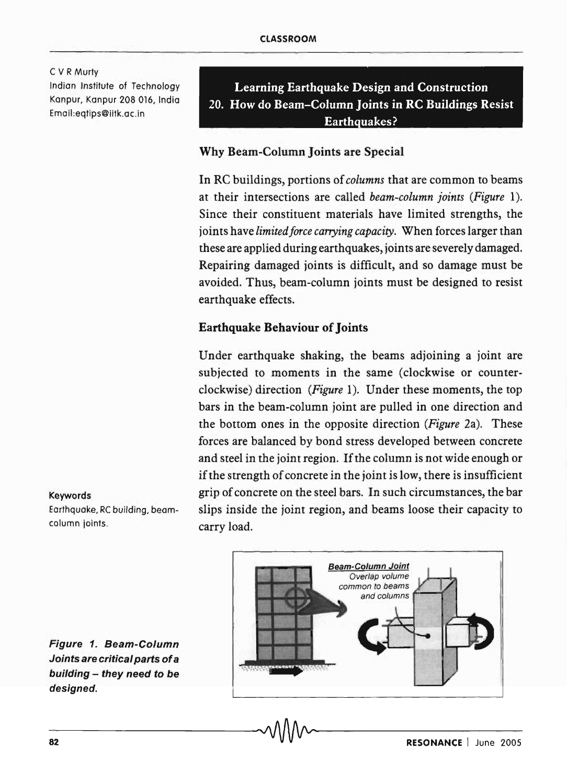C V R Murty Indian Institute of Technology Kanpur, Kanpur 208 016, India Email:eqtips@iitk.ac.in

Learning Earthquake Design and Construction 20. How do Beam-Column Joints in RC Buildings Resist Earth quakes?

# Why Beam-Column Joints are Special

In RC buildings, portions of *columns* that are common to beams at their intersections are called *beam-column joints (Figure 1).*  Since their constituent materials have limited strengths, the joints have *limited force carrying capacity*. When forces larger than these are applied during earthquakes, joints are severely damaged. Repairing damaged joints is difficult, and so damage must be avoided. Thus, beam-column joints must be designed to resist earthquake effects.

## Earthquake Behaviour of Joints

Under earthquake shaking, the beams adjoining a joint are subjected to moments in the same (clockwise or counterclockwise) direction *(Figure* 1). Under these moments, the top bars in the beam-column joint are pulled in one direction and the bottom ones in the opposite direction *(Figure* 2a). These forces are balanced by bond stress developed between concrete and steel in the joint region. If the column is not wide enough or if the strength of concrete in the joint is low, there is insufficient grip of concrete on the steel bars. In such circumstances, the bar slips inside the joint region, and beams loose their capacity to carry load.

Keywords Earthquake, RC building, beamcolumn joints.



Figure 1. Beam-Column Joints are critical parts of a building - they need to be designed.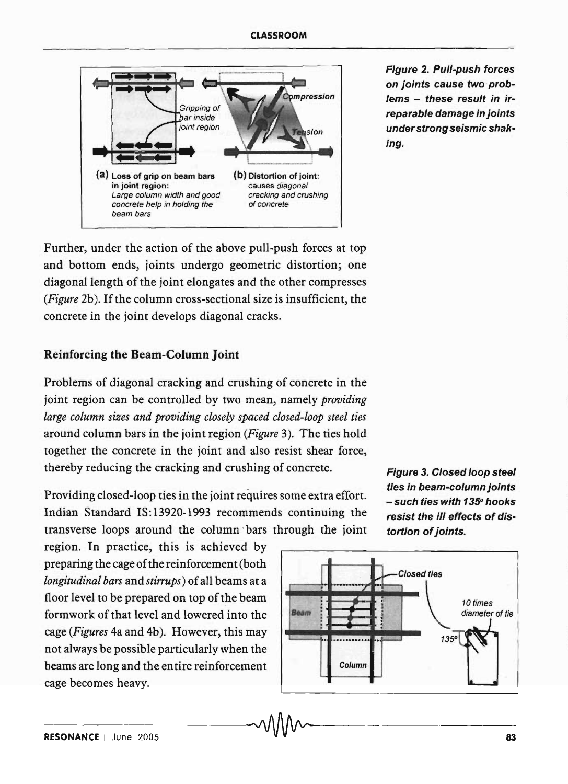

Figure 2. Pull-push forces on joints cause two problems - these result in irreparable damage in joints under strong seismic shaking.

Further, under the action of the above pull-push forces at top and bottom ends, joints undergo geometric distortion; one diagonal length of the joint elongates and the other compresses *(Figure* 2b). If the column cross-sectional size is insufficient, the concrete in the joint develops diagonal cracks.

### Reinforcing the Beam-Column Joint

Problems of diagonal cracking and crushing of concrete in the joint region can be controlled by two mean, namely *providing large column sizes and providing closely spaced closed-loop steel ties*  around column bars in the joint region *(Figure* 3). The ties hold together the concrete in the joint and also resist shear force, thereby reducing the cracking and crushing of concrete.

Providing closed-loop ties in the joint requires some extra effort. Indian Standard IS: 13920-1993 recommends continuing the transverse loops around the column bars through the joint

region. In practice, this is achieved by preparing the cage of the reinforcemen t (both *longitudinal bars* and *stirrups)* of all beams at a floor level to be prepared on top of the beam formwork of that level and lowered into the cage *(Figures* 4a and 4b). However, this may not always be possible particularly when the beams are long and the entire reinforcement cage becomes heavy.



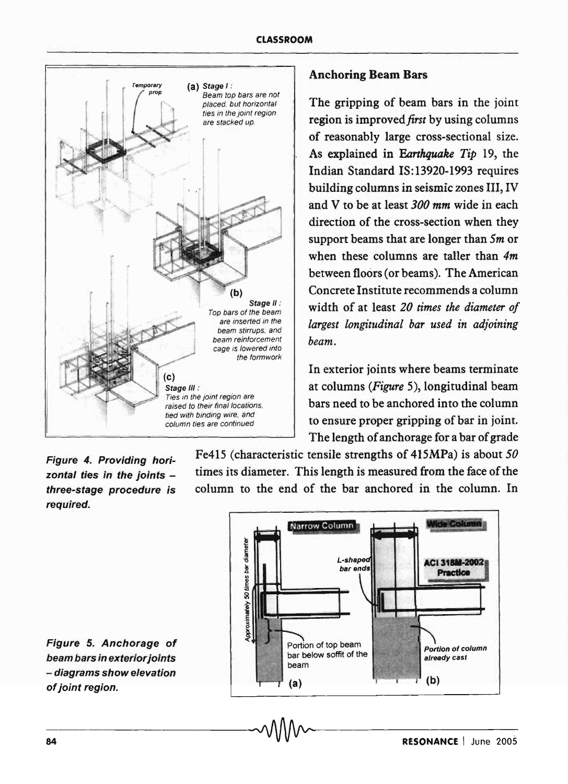

# Anchoring Beam Bars

The gripping of beam bars in the joint region is *improved first* by using columns of reasonably large cross-sectional size. As explained in *Earthquake Tip* 19, the Indian Standard IS: 13920-1993 requires building columns in seismic zones III, IV and V to be at least *300 mm* wide in each direction of the cross-section when they support beams that are longer than *5m* or when these columns are taller than *4m*  between floors (or beams). The American Concrete Institute recommends a column width of at least *20 times the diameter of largest longitudinal bar used in adjoining beam.* 

In exterior joints where beams terminate at columns *(Figure* 5), longitudinal beam Ties in the joint region are<br>raised to their final locations **bars need to be anchored into the column**  $\frac{1}{\text{column times are continued}}$  to ensure proper gripping of bar in joint. The length of anchorage for a bar of grade

Figure 4. Providing horizontal ties in the joints  $$ three-stage procedure is required.

Fe415 (characteristic tensile strengths of 415MPa) is about 50 times its diameter. This length is measured from the face of the column to the end of the bar anchored in the column. In



Figure 5. Anchorage of beam bars in exterior joints - diagrams show elevation of joint region.